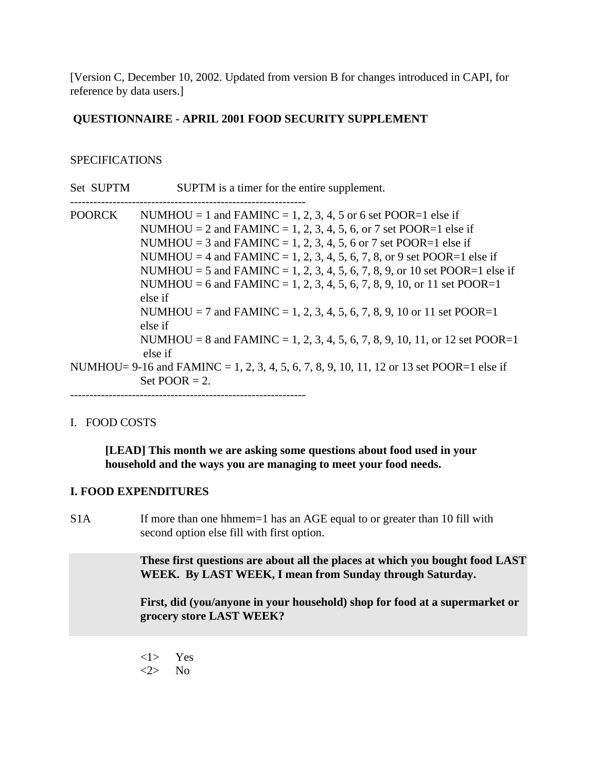[Version C, December 10, 2002. Updated from version B for changes introduced in CAPI, for reference by data users.]

## **QUESTIONNAIRE - APRIL 2001 FOOD SECURITY SUPPLEMENT**

## **SPECIFICATIONS**

- Set SUPTM SUPTM is a timer for the entire supplement.
- -------------------------------------------------------------

POORCK NUMHOU = 1 and FAMINC = 1, 2, 3, 4, 5 or 6 set POOR=1 else if NUMHOU = 2 and FAMINC = 1, 2, 3, 4, 5, 6, or 7 set POOR=1 else if NUMHOU = 3 and FAMINC = 1, 2, 3, 4, 5, 6 or 7 set POOR=1 else if NUMHOU = 4 and FAMINC = 1, 2, 3, 4, 5, 6, 7, 8, or 9 set POOR=1 else if NUMHOU = 5 and FAMINC = 1, 2, 3, 4, 5, 6, 7, 8, 9, or 10 set POOR=1 else if NUMHOU = 6 and FAMINC = 1, 2, 3, 4, 5, 6, 7, 8, 9, 10, or 11 set POOR=1 else if NUMHOU = 7 and FAMINC = 1, 2, 3, 4, 5, 6, 7, 8, 9, 10 or 11 set POOR=1 else if NUMHOU = 8 and FAMINC = 1, 2, 3, 4, 5, 6, 7, 8, 9, 10, 11, or 12 set POOR=1 else if NUMHOU=  $9-16$  and FAMINC = 1, 2, 3, 4, 5, 6, 7, 8, 9, 10, 11, 12 or 13 set POOR=1 else if Set POOR  $= 2$ . -------------------------------------------------------------

## I. FOOD COSTS

**[LEAD] This month we are asking some questions about food used in your household and the ways you are managing to meet your food needs.**

## **I. FOOD EXPENDITURES**

S1A If more than one hhmem=1 has an AGE equal to or greater than 10 fill with second option else fill with first option.

> **These first questions are about all the places at which you bought food LAST WEEK. By LAST WEEK, I mean from Sunday through Saturday.**

**First, did (you/anyone in your household) shop for food at a supermarket or grocery store LAST WEEK?**

<1> Yes <2> No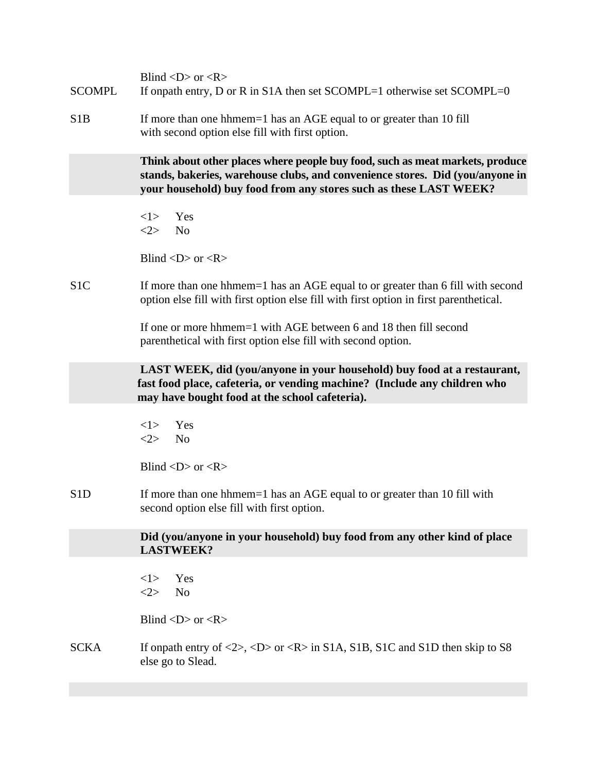| <b>SCOMPL</b>    | Blind $\langle D \rangle$ or $\langle R \rangle$<br>If onpath entry, D or R in S1A then set SCOMPL=1 otherwise set SCOMPL=0                                                                                                         |
|------------------|-------------------------------------------------------------------------------------------------------------------------------------------------------------------------------------------------------------------------------------|
| S <sub>1</sub> B | If more than one hhmem=1 has an AGE equal to or greater than 10 fill<br>with second option else fill with first option.                                                                                                             |
|                  | Think about other places where people buy food, such as meat markets, produce<br>stands, bakeries, warehouse clubs, and convenience stores. Did (you/anyone in<br>your household) buy food from any stores such as these LAST WEEK? |
|                  | Yes<br><1><br><2><br>N <sub>0</sub>                                                                                                                                                                                                 |
|                  | Blind $\langle D \rangle$ or $\langle R \rangle$                                                                                                                                                                                    |
| S <sub>1</sub> C | If more than one hhmem=1 has an AGE equal to or greater than 6 fill with second<br>option else fill with first option else fill with first option in first parenthetical.                                                           |
|                  | If one or more hhmem=1 with AGE between 6 and 18 then fill second<br>parenthetical with first option else fill with second option.                                                                                                  |
|                  | LAST WEEK, did (you/anyone in your household) buy food at a restaurant,<br>fast food place, cafeteria, or vending machine? (Include any children who<br>may have bought food at the school cafeteria).                              |
|                  | Yes<br><1><br><2><br>N <sub>o</sub>                                                                                                                                                                                                 |
|                  | Blind $\langle D \rangle$ or $\langle R \rangle$                                                                                                                                                                                    |
| S <sub>1</sub> D | If more than one hhmem=1 has an AGE equal to or greater than 10 fill with<br>second option else fill with first option.                                                                                                             |
|                  | Did (you/anyone in your household) buy food from any other kind of place<br><b>LASTWEEK?</b>                                                                                                                                        |
|                  | Yes<br><1><br>N <sub>o</sub><br><2>                                                                                                                                                                                                 |
|                  | Blind $\langle D \rangle$ or $\langle R \rangle$                                                                                                                                                                                    |
| <b>SCKA</b>      | If onpath entry of $\langle 2 \rangle$ , $\langle D \rangle$ or $\langle R \rangle$ in S1A, S1B, S1C and S1D then skip to S8<br>else go to Slead.                                                                                   |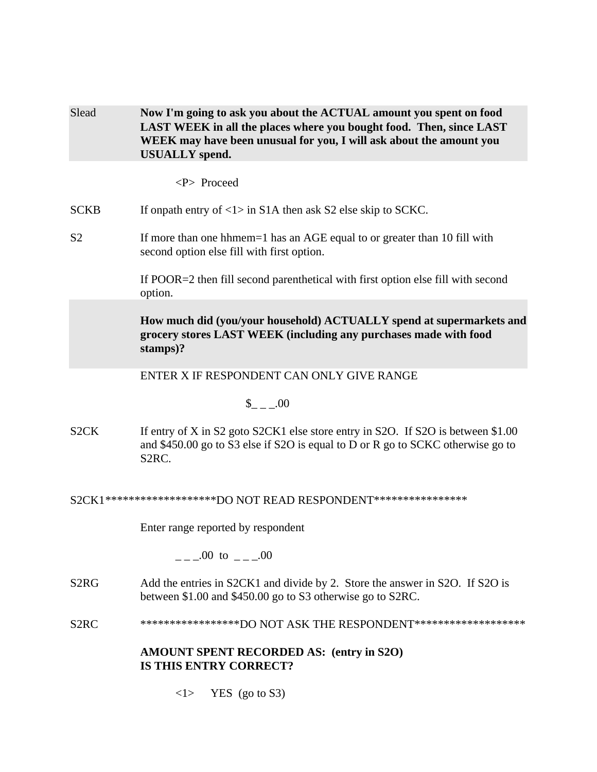| Slead             | Now I'm going to ask you about the ACTUAL amount you spent on food<br>LAST WEEK in all the places where you bought food. Then, since LAST<br>WEEK may have been unusual for you, I will ask about the amount you<br><b>USUALLY</b> spend. |
|-------------------|-------------------------------------------------------------------------------------------------------------------------------------------------------------------------------------------------------------------------------------------|
|                   | <p> Proceed</p>                                                                                                                                                                                                                           |
| <b>SCKB</b>       | If onpath entry of $\langle 1 \rangle$ in S1A then ask S2 else skip to SCKC.                                                                                                                                                              |
| S <sub>2</sub>    | If more than one hhmem=1 has an AGE equal to or greater than 10 fill with<br>second option else fill with first option.                                                                                                                   |
|                   | If POOR=2 then fill second parenthetical with first option else fill with second<br>option.                                                                                                                                               |
|                   | How much did (you/your household) ACTUALLY spend at supermarkets and<br>grocery stores LAST WEEK (including any purchases made with food<br>stamps)?                                                                                      |
|                   | ENTER X IF RESPONDENT CAN ONLY GIVE RANGE                                                                                                                                                                                                 |
|                   | $_{--.00}$                                                                                                                                                                                                                                |
| S <sub>2</sub> CK | If entry of X in S2 goto S2CK1 else store entry in S2O. If S2O is between \$1.00<br>and \$450.00 go to S3 else if S2O is equal to D or R go to SCKC otherwise go to<br>S <sub>2</sub> RC.                                                 |
|                   | S2CK1********************DO NOT READ RESPONDENT****************                                                                                                                                                                           |
|                   | Enter range reported by respondent                                                                                                                                                                                                        |
|                   | $\frac{1}{2}$ .00 to $\frac{1}{2}$ .00                                                                                                                                                                                                    |
| S2RG              | Add the entries in S2CK1 and divide by 2. Store the answer in S2O. If S2O is<br>between \$1.00 and \$450.00 go to S3 otherwise go to S2RC.                                                                                                |
| S <sub>2</sub> RC | ******************DO NOT ASK THE RESPONDENT********************                                                                                                                                                                           |
|                   | AMOUNT SPENT RECORDED AS: (entry in S2O)<br><b>IS THIS ENTRY CORRECT?</b>                                                                                                                                                                 |
|                   | $YES$ (go to S3)<br>< l >                                                                                                                                                                                                                 |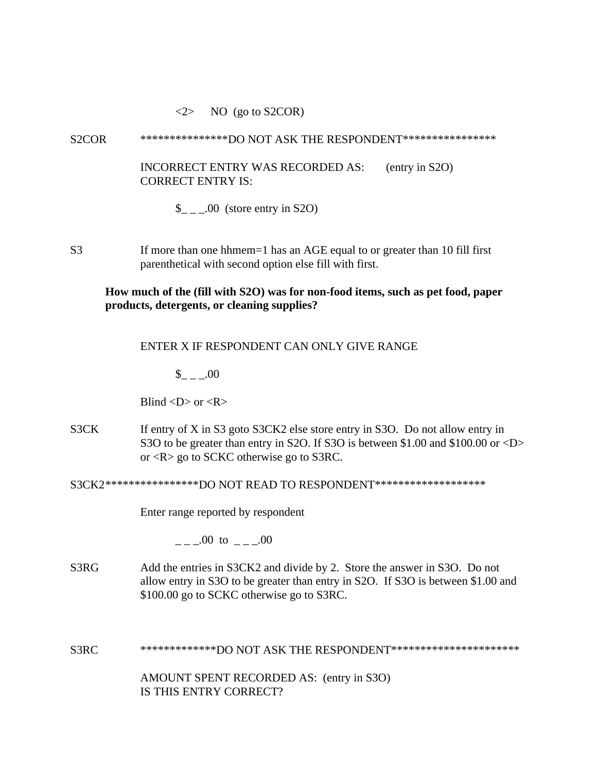#### $\langle 2 \rangle$  NO (go to S2COR)

#### S2COR \*\*\*\*\*\*\*\*\*\*\*\*\*\*\*\*DO NOT ASK THE RESPONDENT\*\*\*\*\*\*\*\*\*\*\*\*\*\*\*\*\*

INCORRECT ENTRY WAS RECORDED AS: (entry in S2O) CORRECT ENTRY IS:

 $\_{$   $\_\_$   $\_\_$  00 (store entry in S2O)

S3 If more than one hhmem=1 has an AGE equal to or greater than 10 fill first parenthetical with second option else fill with first.

## **How much of the (fill with S2O) was for non-food items, such as pet food, paper products, detergents, or cleaning supplies?**

#### ENTER X IF RESPONDENT CAN ONLY GIVE RANGE

 $_{- -100}$ 

Blind  $\langle D \rangle$  or  $\langle R \rangle$ 

S3CK If entry of X in S3 goto S3CK2 else store entry in S3O. Do not allow entry in S3O to be greater than entry in S2O. If S3O is between \$1.00 and \$100.00 or <D> or <R> go to SCKC otherwise go to S3RC.

S3CK2\*\*\*\*\*\*\*\*\*\*\*\*\*\*\*\*\*DO NOT READ TO RESPONDENT\*\*\*\*\*\*\*\*\*\*\*\*\*\*\*\*\*\*\*\*

Enter range reported by respondent

 $\mu$  \_  $\mu$  00 to  $\mu$  \_  $\mu$  00

S3RG Add the entries in S3CK2 and divide by 2. Store the answer in S3O. Do not allow entry in S3O to be greater than entry in S2O. If S3O is between \$1.00 and \$100.00 go to SCKC otherwise go to S3RC.

S3RC \*\*\*\*\*\*\*\*\*\*\*\*\*\*DO NOT ASK THE RESPONDENT\*\*\*\*\*\*\*\*\*\*\*\*\*\*\*\*\*\*\*\*\*\*\*

AMOUNT SPENT RECORDED AS: (entry in S3O) IS THIS ENTRY CORRECT?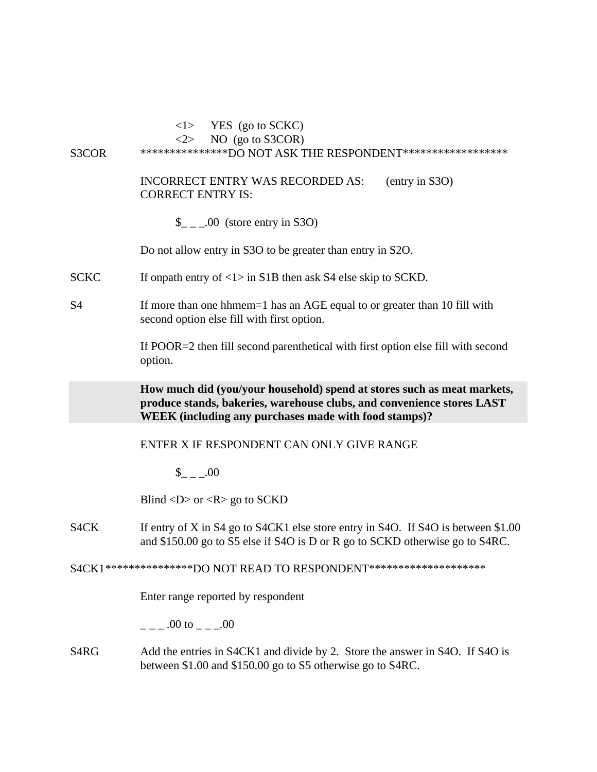# S3COR \*\*\*\*\*\*\*\*\*\*\*\*\*\*\*\*DO NOT ASK THE RESPONDENT\*\*\*\*\*\*\*\*\*\*\*\*\*\*\*\*\*\*\* INCORRECT ENTRY WAS RECORDED AS: (entry in S3O) CORRECT ENTRY IS:  $\frac{1}{2}$  \_ \_00 (store entry in S3O) Do not allow entry in S3O to be greater than entry in S2O. SCKC If onpath entry of  $\langle 1 \rangle$  in S1B then ask S4 else skip to SCKD.

 $\langle 1 \rangle$  YES (go to SCKC)  $\langle 2 \rangle$  NO (go to S3COR)

S4 If more than one hhmem=1 has an AGE equal to or greater than 10 fill with second option else fill with first option.

> If POOR=2 then fill second parenthetical with first option else fill with second option.

**How much did (you/your household) spend at stores such as meat markets, produce stands, bakeries, warehouse clubs, and convenience stores LAST WEEK (including any purchases made with food stamps)?**

ENTER X IF RESPONDENT CAN ONLY GIVE RANGE

 $$ 00$ 

Blind  $\langle D \rangle$  or  $\langle R \rangle$  go to SCKD

S4CK If entry of X in S4 go to S4CK1 else store entry in S4O. If S4O is between \$1.00 and \$150.00 go to S5 else if S4O is D or R go to SCKD otherwise go to S4RC.

S4CK1\*\*\*\*\*\*\*\*\*\*\*\*\*\*\*\*DO NOT READ TO RESPONDENT\*\*\*\*\*\*\*\*\*\*\*\*\*\*\*\*\*\*\*\*\*\*

Enter range reported by respondent

 $.00 \text{ to } 0.00$ 

S4RG Add the entries in S4CK1 and divide by 2. Store the answer in S4O. If S4O is between \$1.00 and \$150.00 go to S5 otherwise go to S4RC.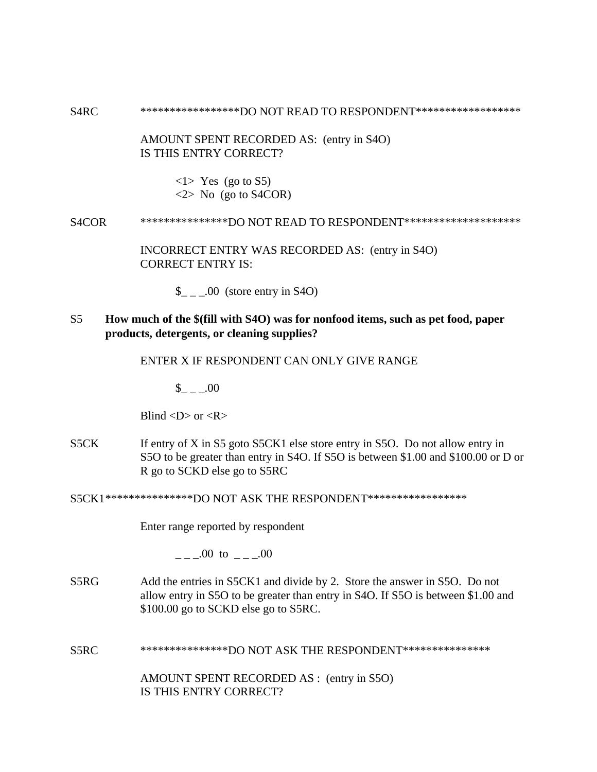S4RC \*\*\*\*\*\*\*\*\*\*\*\*\*\*\*\*\*\*DO NOT READ TO RESPONDENT\*\*\*\*\*\*\*\*\*\*\*\*\*\*\*\*\*\*\*

AMOUNT SPENT RECORDED AS: (entry in S4O) IS THIS ENTRY CORRECT?

> $\langle$ 1> Yes (go to S5)  $\langle 2 \rangle$  No (go to S4COR)

S4COR \*\*\*\*\*\*\*\*\*\*\*\*\*\*\*\*DO NOT READ TO RESPONDENT\*\*\*\*\*\*\*\*\*\*\*\*\*\*\*\*\*\*\*\*\*

INCORRECT ENTRY WAS RECORDED AS: (entry in S4O) CORRECT ENTRY IS:

 $\frac{1}{2}$  \_ \_00 (store entry in S4O)

S5 **How much of the \$(fill with S4O) was for nonfood items, such as pet food, paper products, detergents, or cleaning supplies?**

ENTER X IF RESPONDENT CAN ONLY GIVE RANGE

 $\$\,$  .00

Blind  $\langle D \rangle$  or  $\langle R \rangle$ 

S5CK If entry of X in S5 goto S5CK1 else store entry in S5O. Do not allow entry in S5O to be greater than entry in S4O. If S5O is between \$1.00 and \$100.00 or D or R go to SCKD else go to S5RC

S5CK1\*\*\*\*\*\*\*\*\*\*\*\*\*\*\*DO NOT ASK THE RESPONDENT\*\*\*\*\*\*\*\*\*\*\*\*\*\*\*\*\*

Enter range reported by respondent

 $.00 \text{ to } .00$ 

S5RG Add the entries in S5CK1 and divide by 2. Store the answer in S5O. Do not allow entry in S5O to be greater than entry in S4O. If S5O is between \$1.00 and \$100.00 go to SCKD else go to S5RC.

S5RC \*\*\*\*\*\*\*\*\*\*\*\*\*\*\*DO NOT ASK THE RESPONDENT\*\*\*\*\*\*\*\*\*\*\*\*\*\*\*\*

AMOUNT SPENT RECORDED AS : (entry in S5O) IS THIS ENTRY CORRECT?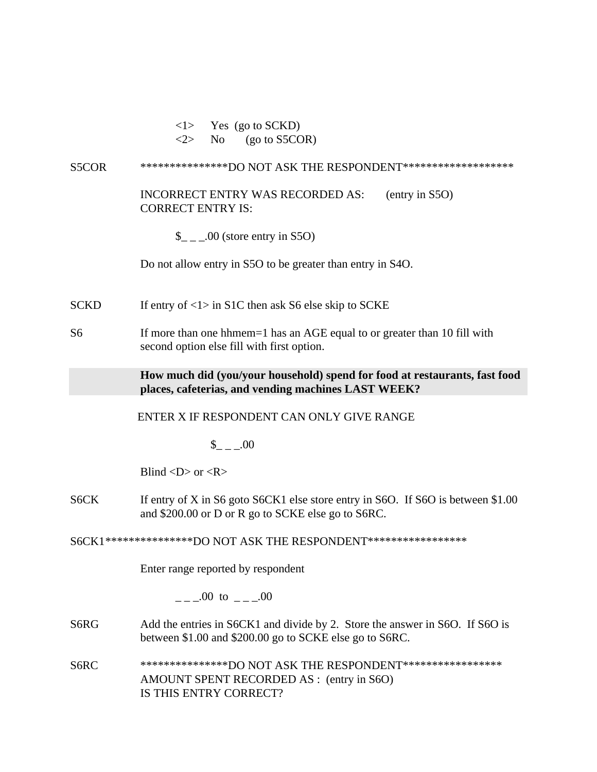| < l > |     | Yes (go to SCKD)         |
|-------|-----|--------------------------|
| 2>    | No. | $(go \text{ to } S5COR)$ |

#### S5COR \*\*\*\*\*\*\*\*\*\*\*\*\*\*\*\*DO NOT ASK THE RESPONDENT\*\*\*\*\*\*\*\*\*\*\*\*\*\*\*\*\*\*\*\*

INCORRECT ENTRY WAS RECORDED AS: (entry in S5O) CORRECT ENTRY IS:

 $\frac{1}{2}$  \_ \_00 (store entry in S5O)

Do not allow entry in S5O to be greater than entry in S4O.

SCKD If entry of  $\langle 1 \rangle$  in S1C then ask S6 else skip to SCKE

S6 If more than one hhmem=1 has an AGE equal to or greater than 10 fill with second option else fill with first option.

> **How much did (you/your household) spend for food at restaurants, fast food places, cafeterias, and vending machines LAST WEEK?**

#### ENTER X IF RESPONDENT CAN ONLY GIVE RANGE

 $\$\quad .00$ 

Blind  $\langle D \rangle$  or  $\langle R \rangle$ 

S6CK If entry of X in S6 goto S6CK1 else store entry in S6O. If S6O is between \$1.00 and \$200.00 or D or R go to SCKE else go to S6RC.

S6CK1\*\*\*\*\*\*\*\*\*\*\*\*\*\*\*DO NOT ASK THE RESPONDENT\*\*\*\*\*\*\*\*\*\*\*\*\*\*\*\*\*

Enter range reported by respondent

 $_{---}00$  to  $_{---}00$ 

- S6RG Add the entries in S6CK1 and divide by 2. Store the answer in S6O. If S6O is between \$1.00 and \$200.00 go to SCKE else go to S6RC.
- S6RC \*\*\*\*\*\*\*\*\*\*\*\*\*\*\*\*DO NOT ASK THE RESPONDENT\*\*\*\*\*\*\*\*\*\*\*\*\*\*\*\*\*\* AMOUNT SPENT RECORDED AS : (entry in S6O) IS THIS ENTRY CORRECT?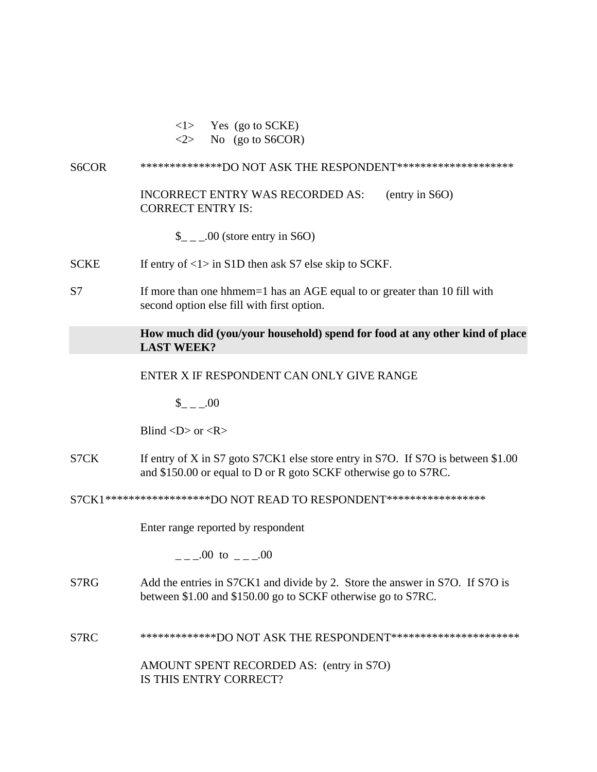$\langle$ 1> Yes (go to SCKE)

 $\langle 2 \rangle$  No (go to S6COR)

#### S6COR \*\*\*\*\*\*\*\*\*\*\*\*\*\*\*DO NOT ASK THE RESPONDENT\*\*\*\*\*\*\*\*\*\*\*\*\*\*\*\*\*\*\*\*\*

INCORRECT ENTRY WAS RECORDED AS: (entry in S6O) CORRECT ENTRY IS:

 $\frac{\S}{\S}$  \_ \_ .00 (store entry in S6O)

SCKE If entry of  $\langle 1 \rangle$  in S1D then ask S7 else skip to SCKF.

S7 If more than one hhmem=1 has an AGE equal to or greater than 10 fill with second option else fill with first option.

## **How much did (you/your household) spend for food at any other kind of place LAST WEEK?**

#### ENTER X IF RESPONDENT CAN ONLY GIVE RANGE

 $$ 00$ 

Blind  $\langle D \rangle$  or  $\langle R \rangle$ 

S7CK If entry of X in S7 goto S7CK1 else store entry in S7O. If S7O is between \$1.00 and \$150.00 or equal to D or R goto SCKF otherwise go to S7RC.

S7CK1\*\*\*\*\*\*\*\*\*\*\*\*\*\*\*\*\*\*DO NOT READ TO RESPONDENT\*\*\*\*\*\*\*\*\*\*\*\*\*\*\*\*\*

Enter range reported by respondent

 $.00 \text{ to } .00$ 

- S7RG Add the entries in S7CK1 and divide by 2. Store the answer in S7O. If S7O is between \$1.00 and \$150.00 go to SCKF otherwise go to S7RC.
- S7RC \*\*\*\*\*\*\*\*\*\*\*\*\*\*DO NOT ASK THE RESPONDENT\*\*\*\*\*\*\*\*\*\*\*\*\*\*\*\*\*\*\*\*\*\*\*\*

AMOUNT SPENT RECORDED AS: (entry in S7O) IS THIS ENTRY CORRECT?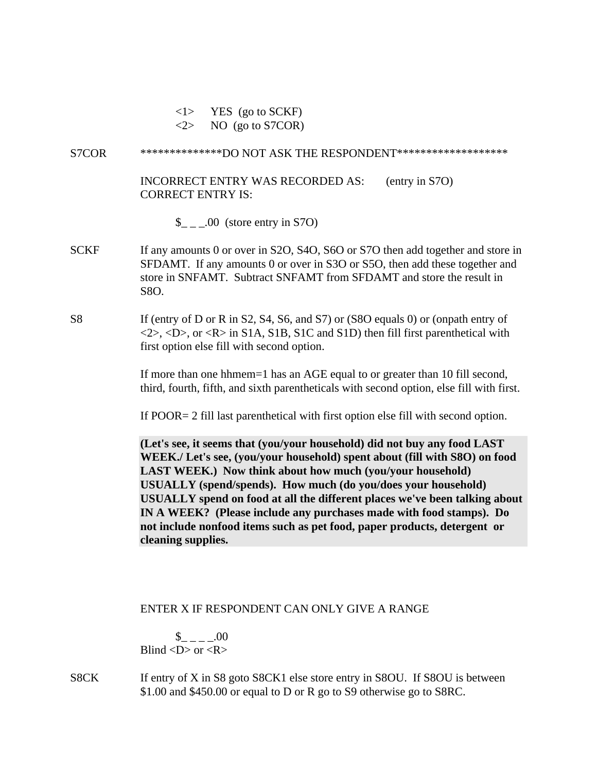$\langle 1 \rangle$  YES (go to SCKF)

 $\langle 2 \rangle$  NO (go to S7COR)

### S7COR \*\*\*\*\*\*\*\*\*\*\*\*\*\*DO NOT ASK THE RESPONDENT\*\*\*\*\*\*\*\*\*\*\*\*\*\*\*\*\*\*\*

INCORRECT ENTRY WAS RECORDED AS: (entry in S7O) CORRECT ENTRY IS:

- $\frac{\S}{\S}$  \_ \_ .00 (store entry in S7O)
- SCKF If any amounts 0 or over in S2O, S4O, S6O or S7O then add together and store in SFDAMT. If any amounts 0 or over in S3O or S5O, then add these together and store in SNFAMT. Subtract SNFAMT from SFDAMT and store the result in S8O.

## S8 If (entry of D or R in S2, S4, S6, and S7) or (S8O equals 0) or (onpath entry of  $\langle 2 \rangle$ ,  $\langle D \rangle$ , or  $\langle R \rangle$  in S1A, S1B, S1C and S1D) then fill first parenthetical with first option else fill with second option.

If more than one hhmem=1 has an AGE equal to or greater than 10 fill second, third, fourth, fifth, and sixth parentheticals with second option, else fill with first.

If POOR= 2 fill last parenthetical with first option else fill with second option.

**(Let's see, it seems that (you/your household) did not buy any food LAST WEEK./ Let's see, (you/your household) spent about (fill with S8O) on food LAST WEEK.) Now think about how much (you/your household) USUALLY (spend/spends). How much (do you/does your household) USUALLY spend on food at all the different places we've been talking about IN A WEEK? (Please include any purchases made with food stamps). Do not include nonfood items such as pet food, paper products, detergent or cleaning supplies.**

## ENTER X IF RESPONDENT CAN ONLY GIVE A RANGE

 $_{- - -1}$ .00 Blind  $\langle D \rangle$  or  $\langle R \rangle$ 

S8CK If entry of X in S8 goto S8CK1 else store entry in S8OU. If S8OU is between \$1.00 and \$450.00 or equal to D or R go to S9 otherwise go to S8RC.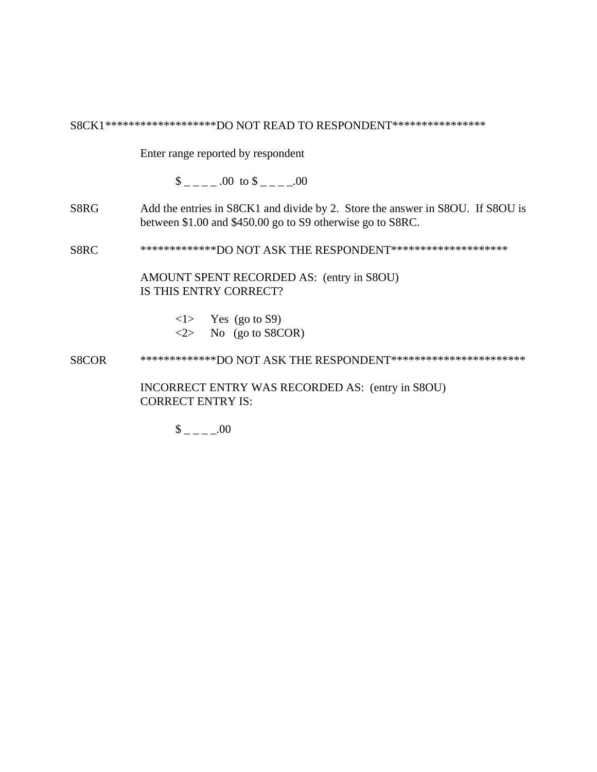S8CK1\*\*\*\*\*\*\*\*\*\*\*\*\*\*\*\*\*\*\*\*DO NOT READ TO RESPONDENT\*\*\*\*\*\*\*\*\*\*\*\*\*\*\*\*\*

Enter range reported by respondent

 $\frac{\$$  \_ \_ \_ \_ .00 to  $\$$  \_ \_ \_ \_.00

S8RG Add the entries in S8CK1 and divide by 2. Store the answer in S8OU. If S8OU is between \$1.00 and \$450.00 go to S9 otherwise go to S8RC.

S8RC \*\*\*\*\*\*\*\*\*\*\*\*\*\*DO NOT ASK THE RESPONDENT\*\*\*\*\*\*\*\*\*\*\*\*\*\*\*\*\*\*\*\*\*

AMOUNT SPENT RECORDED AS: (entry in S8OU) IS THIS ENTRY CORRECT?

- $\langle 1 \rangle$  Yes (go to S9)  $\langle 2 \rangle$  No (go to S8COR)
- S8COR \*\*\*\*\*\*\*\*\*\*\*\*\*\*DO NOT ASK THE RESPONDENT\*\*\*\*\*\*\*\*\*\*\*\*\*\*\*\*\*\*\*\*\*\*\*\*\*\*

INCORRECT ENTRY WAS RECORDED AS: (entry in S8OU) CORRECT ENTRY IS:

 $$$  \_ \_ \_ \_ .00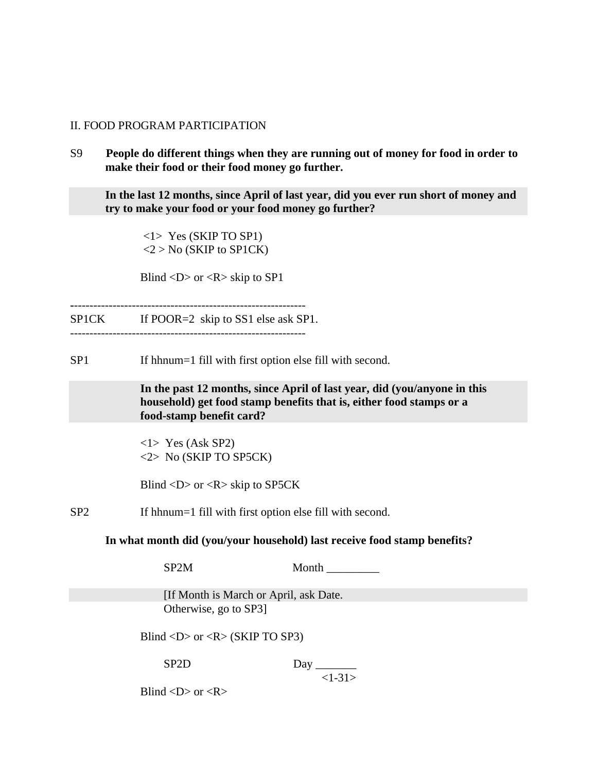#### II. FOOD PROGRAM PARTICIPATION

S9 **People do different things when they are running out of money for food in order to make their food or their food money go further.**

**In the last 12 months, since April of last year, did you ever run short of money and try to make your food or your food money go further?**

<1> Yes (SKIP TO SP1)  $<$ 2 > No (SKIP to SP1CK)

Blind  $\langle D \rangle$  or  $\langle R \rangle$  skip to SP1

**-**------------------------------------------------------------ SP1CK If POOR=2 skip to SS1 else ask SP1. -------------------------------------------------------------

SP1 If hhnum=1 fill with first option else fill with second.

**In the past 12 months, since April of last year, did (you/anyone in this household) get food stamp benefits that is, either food stamps or a food-stamp benefit card?**

<1> Yes (Ask SP2) <2> No (SKIP TO SP5CK)

Blind  $\langle D \rangle$  or  $\langle R \rangle$  skip to SP5CK

SP2 If hhnum=1 fill with first option else fill with second.

**In what month did (you/your household) last receive food stamp benefits?**

SP2M Month

 [If Month is March or April, ask Date. Otherwise, go to SP3]

Blind  $\langle D \rangle$  or  $\langle R \rangle$  (SKIP TO SP3)

SP2D Day \_\_\_\_\_\_\_

 $<1-31>$ 

Blind  $\langle D \rangle$  or  $\langle R \rangle$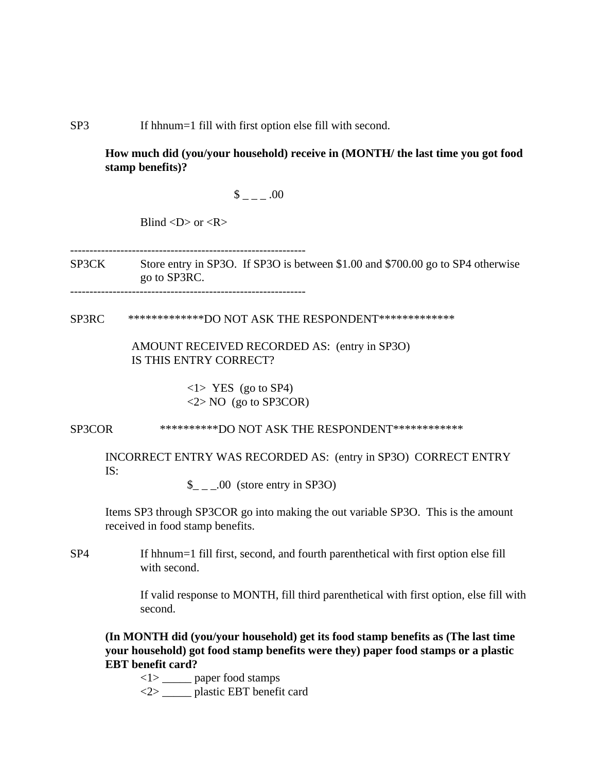SP3 If hhnum=1 fill with first option else fill with second.

**How much did (you/your household) receive in (MONTH/ the last time you got food stamp benefits)?**

 $\frac{\$}{\$}$  \_ \_ .00

Blind  $\langle D \rangle$  or  $\langle R \rangle$ 

-------------------------------------------------------------

SP3CK Store entry in SP3O. If SP3O is between \$1.00 and \$700.00 go to SP4 otherwise go to SP3RC.

-------------------------------------------------------------

SP3RC \*\*\*\*\*\*\*\*\*\*\*\*\*DO NOT ASK THE RESPONDENT\*\*\*\*\*\*\*\*\*\*\*\*\*

 AMOUNT RECEIVED RECORDED AS: (entry in SP3O) IS THIS ENTRY CORRECT?

> $\langle$ 1> YES (go to SP4) <2> NO (go to SP3COR)

SP3COR \*\*\*\*\*\*\*\*\*\*\*\*DO NOT ASK THE RESPONDENT\*\*\*\*\*\*\*\*\*\*\*\*\*

INCORRECT ENTRY WAS RECORDED AS: (entry in SP3O) CORRECT ENTRY IS:

 $\frac{1}{2}$  \_ \_.00 (store entry in SP3O)

Items SP3 through SP3COR go into making the out variable SP3O. This is the amount received in food stamp benefits.

SP4 If hhnum=1 fill first, second, and fourth parenthetical with first option else fill with second.

> If valid response to MONTH, fill third parenthetical with first option, else fill with second.

**(In MONTH did (you/your household) get its food stamp benefits as (The last time your household) got food stamp benefits were they) paper food stamps or a plastic EBT benefit card?**

<1> \_\_\_\_\_ paper food stamps

<2> \_\_\_\_\_ plastic EBT benefit card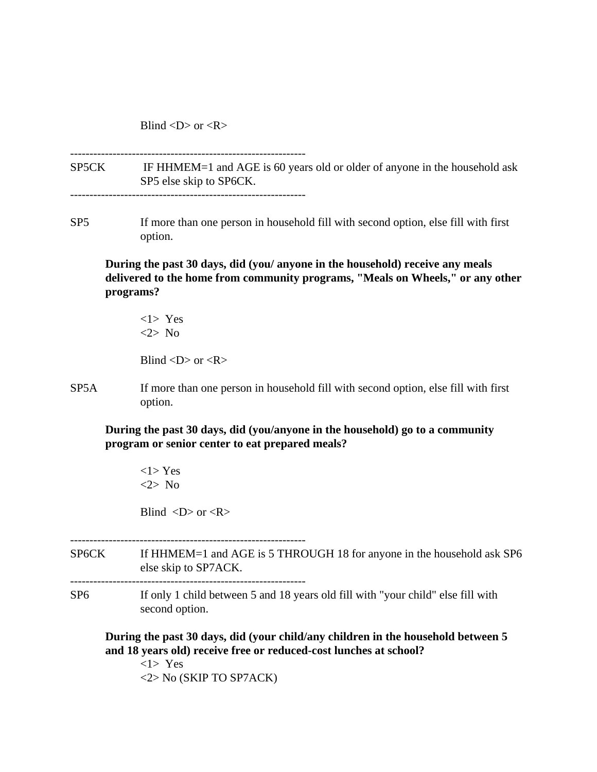Blind  $\langle D \rangle$  or  $\langle R \rangle$ 

SP5CK IF HHMEM=1 and AGE is 60 years old or older of anyone in the household ask SP5 else skip to SP6CK.

-------------------------------------------------------------

SP5 If more than one person in household fill with second option, else fill with first option.

**During the past 30 days, did (you/ anyone in the household) receive any meals delivered to the home from community programs, "Meals on Wheels," or any other programs?**

<1> Yes <2> No

Blind  $\langle D \rangle$  or  $\langle R \rangle$ 

SP5A If more than one person in household fill with second option, else fill with first option.

**During the past 30 days, did (you/anyone in the household) go to a community program or senior center to eat prepared meals?**

 $<1$ > Yes <2> No

Blind  $\langle D \rangle$  or  $\langle R \rangle$ 

-------------------------------------------------------------

- SP6CK If HHMEM=1 and AGE is 5 THROUGH 18 for anyone in the household ask SP6 else skip to SP7ACK. -------------------------------------------------------------
- SP6 If only 1 child between 5 and 18 years old fill with "your child" else fill with

second option.

**During the past 30 days, did (your child/any children in the household between 5 and 18 years old) receive free or reduced-cost lunches at school?**

<1> Yes <2> No (SKIP TO SP7ACK)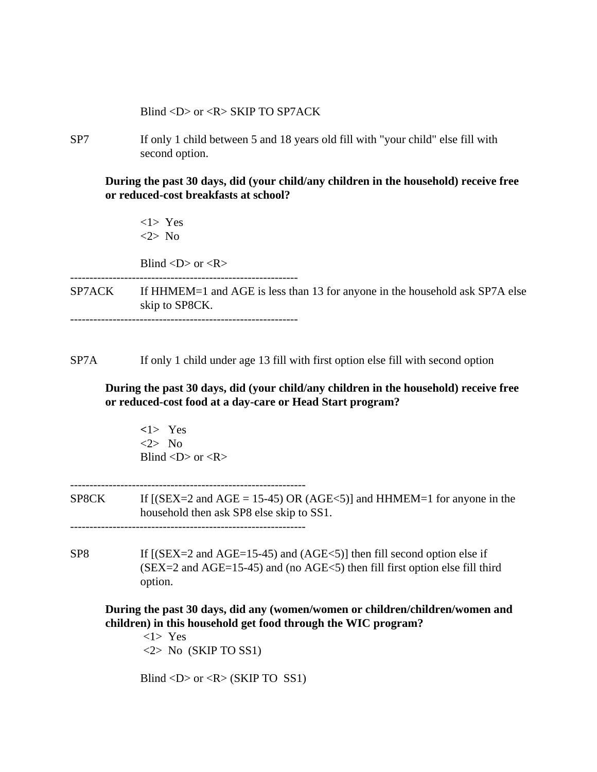Blind <D> or <R> SKIP TO SP7ACK

SP7 If only 1 child between 5 and 18 years old fill with "your child" else fill with second option.

**During the past 30 days, did (your child/any children in the household) receive free or reduced-cost breakfasts at school?**

<1> Yes <2> No

Blind  $\langle D \rangle$  or  $\langle R \rangle$ 

SP7ACK If HHMEM=1 and AGE is less than 13 for anyone in the household ask SP7A else skip to SP8CK.

-----------------------------------------------------------

SP7A If only 1 child under age 13 fill with first option else fill with second option

 **During the past 30 days, did (your child/any children in the household) receive free or reduced-cost food at a day-care or Head Start program?**

**<**1> Yes <2> No Blind  $\langle D \rangle$  or  $\langle R \rangle$ 

SP8CK If  $[(SEX = 2 \text{ and } AGE = 15-45) \text{ OR } (AGE < 5)]$  and HHMEM=1 for anyone in the household then ask SP8 else skip to SS1.

-------------------------------------------------------------

SP8 If  $[(SEX=2 \text{ and } AGE=15-45)$  and  $(AGE<5)$ ] then fill second option else if  $(SEX = 2$  and  $AGE = 15-45)$  and (no  $AGE < 5$ ) then fill first option else fill third option.

**During the past 30 days, did any (women/women or children/children/women and children) in this household get food through the WIC program?**

 <1> Yes  $\langle 2 \rangle$  No (SKIP TO SS1)

Blind  $\langle D \rangle$  or  $\langle R \rangle$  (SKIP TO SS1)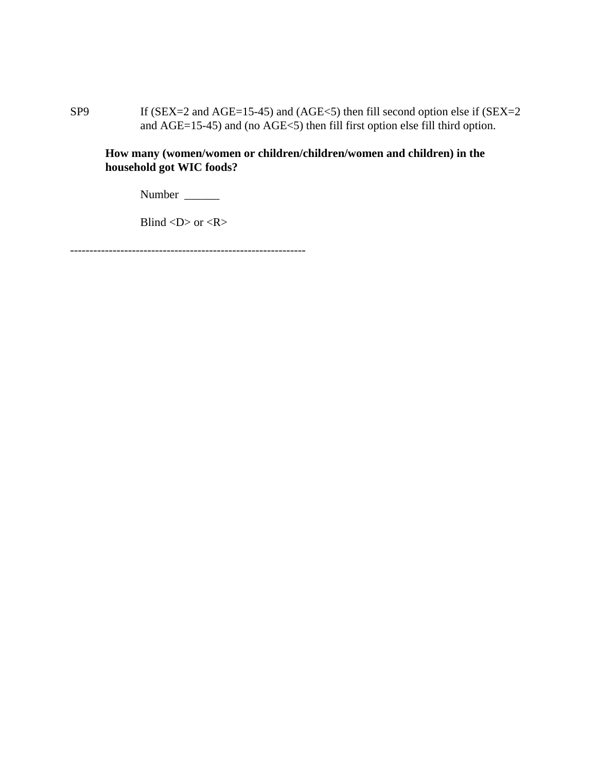SP9 If (SEX=2 and AGE=15-45) and (AGE<5) then fill second option else if (SEX=2 and AGE=15-45) and (no AGE<5) then fill first option else fill third option.

**How many (women/women or children/children/women and children) in the household got WIC foods?**

Number \_\_\_\_\_\_\_\_

Blind  $\langle D \rangle$  or  $\langle R \rangle$ 

-------------------------------------------------------------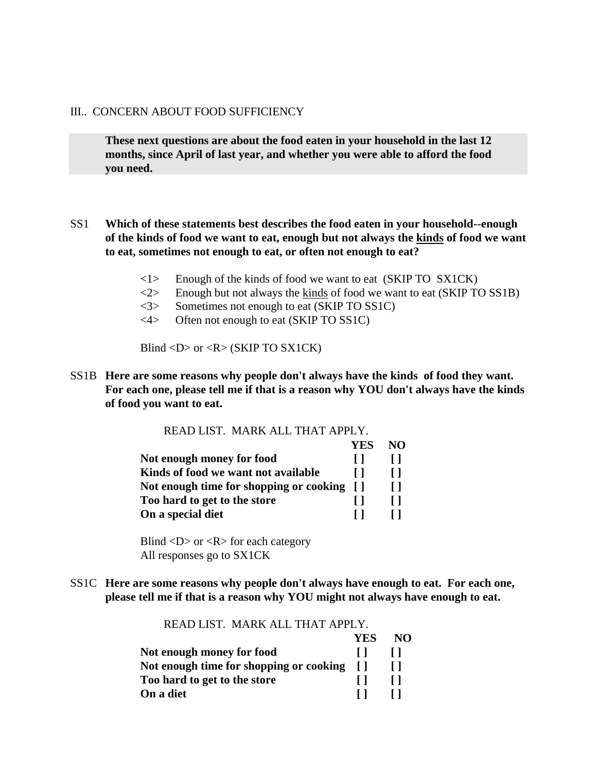#### III.. CONCERN ABOUT FOOD SUFFICIENCY

**These next questions are about the food eaten in your household in the last 12 months, since April of last year, and whether you were able to afford the food you need.**

## SS1 **Which of these statements best describes the food eaten in your household--enough of the kinds of food we want to eat, enough but not always the kinds of food we want to eat, sometimes not enough to eat, or often not enough to eat?**

- $\langle$ 1> Enough of the kinds of food we want to eat (SKIP TO SX1CK)
- $\langle 2 \rangle$  Enough but not always the kinds of food we want to eat (SKIP TO SS1B)
- <3> Sometimes not enough to eat (SKIP TO SS1C)
- <4> Often not enough to eat (SKIP TO SS1C)

Blind <D> or <R> (SKIP TO SX1CK)

SS1B **Here are some reasons why people don't always have the kinds of food they want. For each one, please tell me if that is a reason why YOU don't always have the kinds of food you want to eat.**

| READ LIST. MARK ALL THAT APPLY.            |     |     |
|--------------------------------------------|-----|-----|
|                                            | YES | NO. |
| Not enough money for food                  |     |     |
| Kinds of food we want not available        |     |     |
| Not enough time for shopping or cooking [] |     |     |
| Too hard to get to the store               |     |     |
| On a special diet                          |     |     |

Blind  $\langle D \rangle$  or  $\langle R \rangle$  for each category All responses go to SX1CK

SS1C **Here are some reasons why people don't always have enough to eat. For each one, please tell me if that is a reason why YOU might not always have enough to eat.**

| READ LIST. MARK ALL THAT APPLY.            |            |    |
|--------------------------------------------|------------|----|
|                                            | <b>YES</b> | NO |
| Not enough money for food                  |            |    |
| Not enough time for shopping or cooking [] |            |    |
| Too hard to get to the store               |            |    |

**On a diet** [ ] [ ]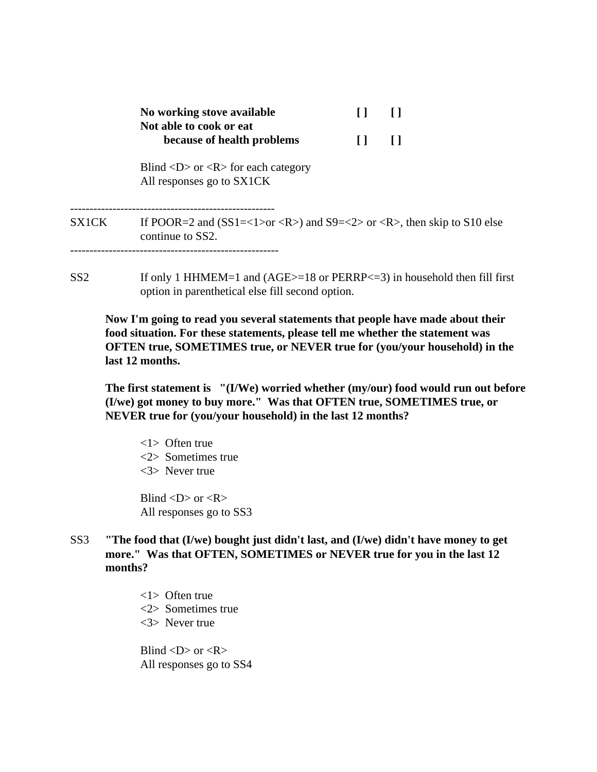|       | No working stove available<br>Not able to cook or eat                                           |  |  |
|-------|-------------------------------------------------------------------------------------------------|--|--|
|       | because of health problems                                                                      |  |  |
|       | Blind $\langle D \rangle$ or $\langle R \rangle$ for each category<br>All responses go to SX1CK |  |  |
| SX1CK | If POOR=2 and $(SS1=<1>or )$ and $S9=<2>or $ , then skip to S10 else<br>continue to SS2.        |  |  |
|       |                                                                                                 |  |  |

SS2 If only 1 HHMEM=1 and (AGE>=18 or PERRP<=3) in household then fill first option in parenthetical else fill second option.

 **Now I'm going to read you several statements that people have made about their food situation. For these statements, please tell me whether the statement was OFTEN true, SOMETIMES true, or NEVER true for (you/your household) in the last 12 months.**

**The first statement is "(I/We) worried whether (my/our) food would run out before (I/we) got money to buy more." Was that OFTEN true, SOMETIMES true, or NEVER true for (you/your household) in the last 12 months?**

<1> Often true <2> Sometimes true <3> Never true

Blind  $\langle D \rangle$  or  $\langle R \rangle$ All responses go to SS3

SS3 **"The food that (I/we) bought just didn't last, and (I/we) didn't have money to get more." Was that OFTEN, SOMETIMES or NEVER true for you in the last 12 months?**

> <1> Often true <2> Sometimes true <3> Never true

Blind  $\langle D \rangle$  or  $\langle R \rangle$ All responses go to SS4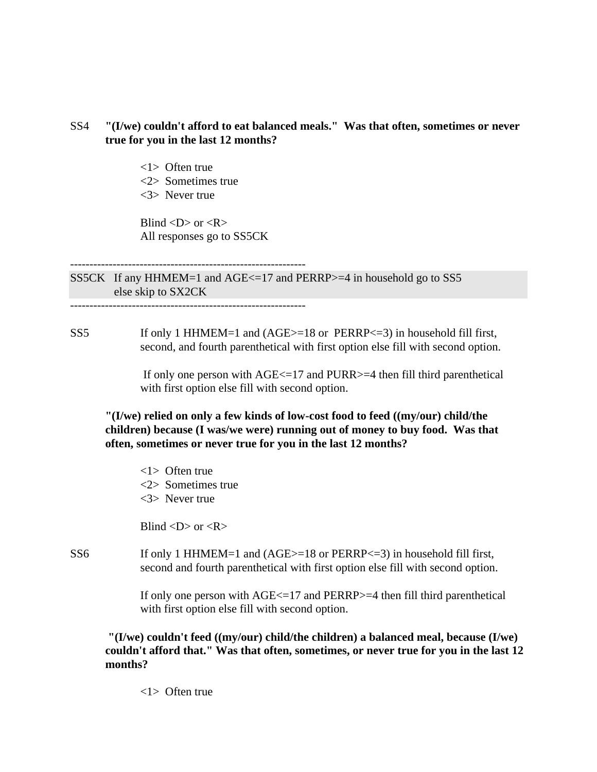## SS4 **"(I/we) couldn't afford to eat balanced meals." Was that often, sometimes or never true for you in the last 12 months?**

- <1> Often true
- <2> Sometimes true
- <3> Never true

Blind  $\langle D \rangle$  or  $\langle R \rangle$ All responses go to SS5CK

SS5CK If any HHMEM=1 and AGE<=17 and PERRP>=4 in household go to SS5 else skip to SX2CK

-------------------------------------------------------------

-------------------------------------------------------------

SS5 If only 1 HHMEM=1 and (AGE>=18 or PERRP<=3) in household fill first, second, and fourth parenthetical with first option else fill with second option.

> If only one person with AGE<=17 and PURR>=4 then fill third parenthetical with first option else fill with second option.

**"(I/we) relied on only a few kinds of low-cost food to feed ((my/our) child/the children) because (I was/we were) running out of money to buy food. Was that often, sometimes or never true for you in the last 12 months?**

<1> Often true <2> Sometimes true <3> Never true

Blind  $\langle D \rangle$  or  $\langle R \rangle$ 

SS6 If only 1 HHMEM=1 and (AGE>=18 or PERRP<=3) in household fill first, second and fourth parenthetical with first option else fill with second option.

> If only one person with AGE<=17 and PERRP>=4 then fill third parenthetical with first option else fill with second option.

**"(I/we) couldn't feed ((my/our) child/the children) a balanced meal, because (I/we) couldn't afford that." Was that often, sometimes, or never true for you in the last 12 months?**

<1> Often true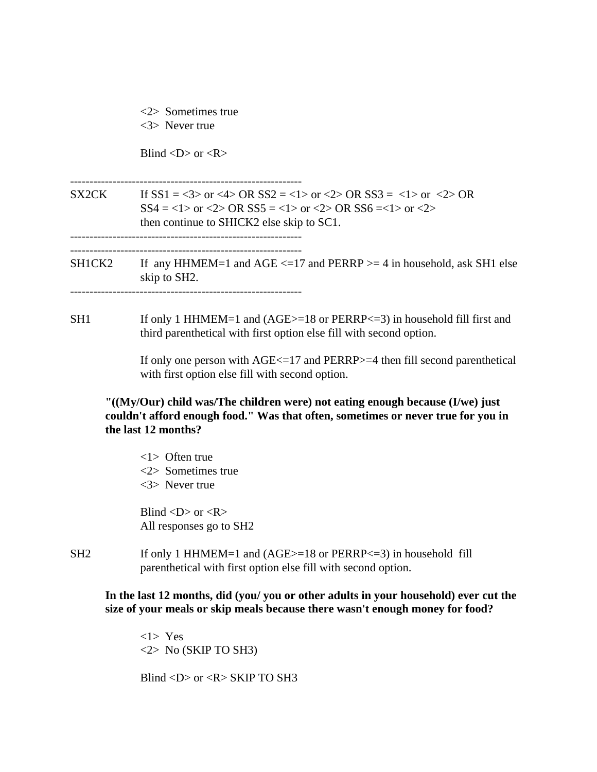|     | $\langle 2 \rangle$ Sometimes true<br>$<$ 3> Never true                                                                                                                                               |
|-----|-------------------------------------------------------------------------------------------------------------------------------------------------------------------------------------------------------|
|     | Blind $\langle D \rangle$ or $\langle R \rangle$                                                                                                                                                      |
|     | SX2CK If $SS1 = <3>$ or $<4>$ OR $SS2 = <1>$ or $<2>$ OR SS3 = $<1>$ or $<2>$ OR<br>$SS4 = <1>$ or $<2>$ OR $SS5 = <1>$ or $<2>$ OR $SS6 = <1>$ or $<2>$<br>then continue to SHICK2 else skip to SC1. |
|     | SH1CK2 If any HHMEM=1 and AGE $\le$ =17 and PERRP $>$ = 4 in household, ask SH1 else<br>skip to SH2.                                                                                                  |
| SH1 | If only 1 HHMEM=1 and (AGE>=18 or PERRP<=3) in household fill first and<br>third parenthetical with first option else fill with second option.                                                        |
|     | If only one person with $AGE \le 17$ and PERRP $> = 4$ then fill second parenthetical<br>with first option else fill with second option.                                                              |
|     | "((My/Our) child was/The children were) not eating enough because (I/we) just<br>couldn't afford enough food." Was that often, sometimes or never true for you in<br>the last 12 months?              |
|     | $\langle 1 \rangle$ Often true<br>$<2>$ Sometimes true<br>$<$ 3> Never true                                                                                                                           |
|     | Blind < $D$ > or < $R$ ><br>All responses go to SH2                                                                                                                                                   |
| SH2 | If only 1 HHMEM=1 and $(AGE>=18$ or PERRP<=3) in household fill                                                                                                                                       |

parenthetical with first option else fill with second option.

**In the last 12 months, did (you/ you or other adults in your household) ever cut the size of your meals or skip meals because there wasn't enough money for food?**

<1> Yes <2> No (SKIP TO SH3)

Blind <D> or <R> SKIP TO SH3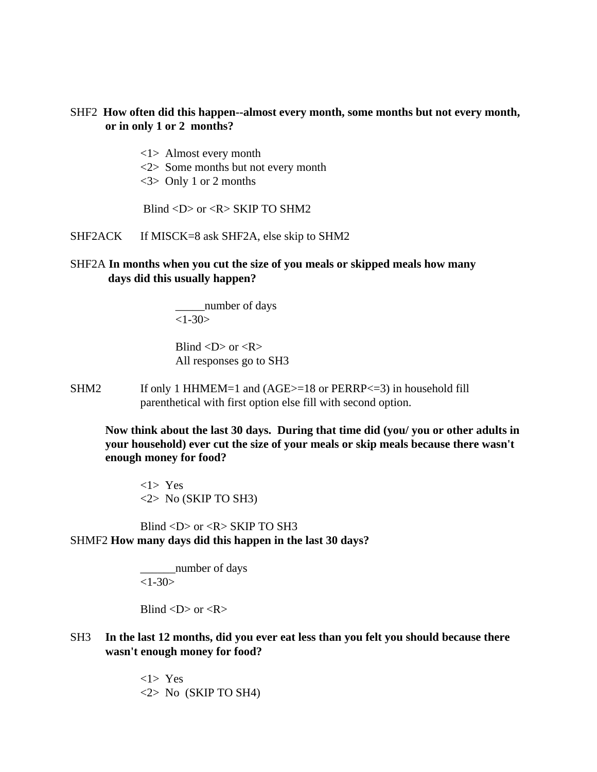## SHF2 **How often did this happen--almost every month, some months but not every month, or in only 1 or 2 months?**

- <1> Almost every month
- <2> Some months but not every month
- <3> Only 1 or 2 months

Blind  $\langle D \rangle$  or  $\langle R \rangle$  SKIP TO SHM2

SHF2ACK If MISCK=8 ask SHF2A, else skip to SHM2

## SHF2A **In months when you cut the size of you meals or skipped meals how many days did this usually happen?**

\_\_\_\_\_number of days  $<1-30>$ 

Blind  $\langle D \rangle$  or  $\langle R \rangle$ All responses go to SH3

SHM2 If only 1 HHMEM=1 and (AGE>=18 or PERRP<=3) in household fill parenthetical with first option else fill with second option.

**Now think about the last 30 days. During that time did (you/ you or other adults in your household) ever cut the size of your meals or skip meals because there wasn't enough money for food?**

<1> Yes  $\langle 2 \rangle$  No (SKIP TO SH3)

 Blind <D> or <R> SKIP TO SH3 SHMF2 **How many days did this happen in the last 30 days?**

> \_\_\_\_\_\_number of days  $<1-30>$

Blind  $\langle D \rangle$  or  $\langle R \rangle$ 

SH3 **In the last 12 months, did you ever eat less than you felt you should because there wasn't enough money for food?**

> <1> Yes  $\langle 2 \rangle$  No (SKIP TO SH4)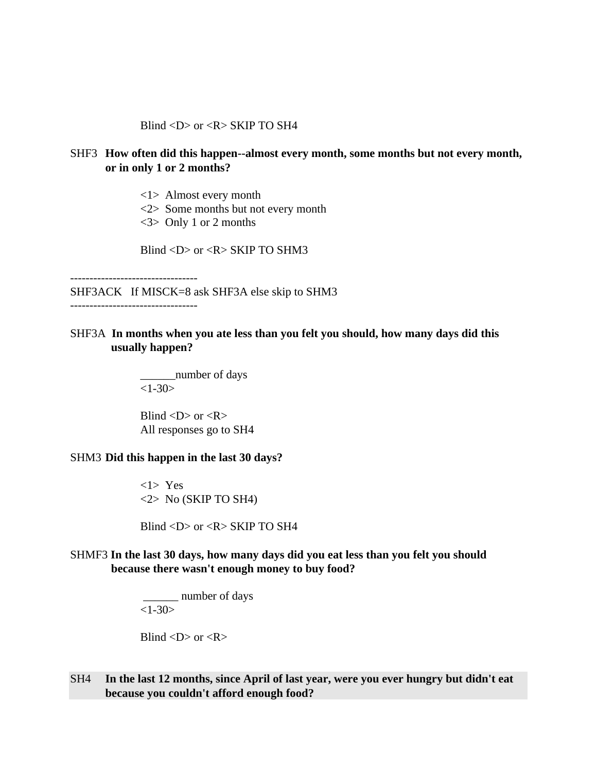Blind  $\langle D \rangle$  or  $\langle R \rangle$  SKIP TO SH4

## SHF3 **How often did this happen--almost every month, some months but not every month, or in only 1 or 2 months?**

<1> Almost every month

- <2> Some months but not every month
- <3> Only 1 or 2 months

Blind <D> or <R> SKIP TO SHM3

---------------------------------

SHF3ACK If MISCK=8 ask SHF3A else skip to SHM3

---------------------------------

SHF3A **In months when you ate less than you felt you should, how many days did this usually happen?**

> \_\_\_\_\_\_number of days  $<1-30>$

Blind  $\langle D \rangle$  or  $\langle R \rangle$ All responses go to SH4

#### SHM3 **Did this happen in the last 30 days?**

<1> Yes  $<$ 2> No (SKIP TO SH4)

Blind <D> or <R> SKIP TO SH4

## SHMF3 **In the last 30 days, how many days did you eat less than you felt you should because there wasn't enough money to buy food?**

 \_\_\_\_\_\_ number of days  $<1-30>$ 

$$
Blind  or
$$

SH4 **In the last 12 months, since April of last year, were you ever hungry but didn't eat because you couldn't afford enough food?**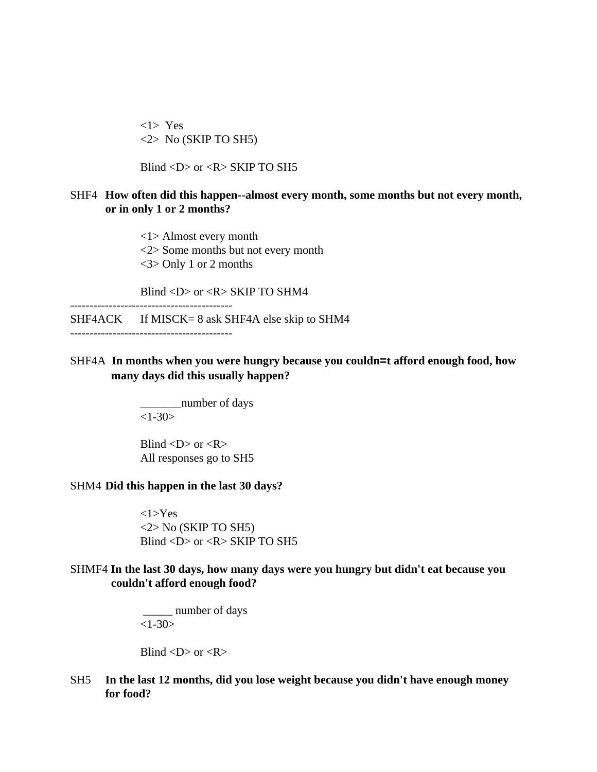<1> Yes <2> No (SKIP TO SH5)

Blind <D> or <R> SKIP TO SH5

#### SHF4 **How often did this happen--almost every month, some months but not every month, or in only 1 or 2 months?**

<1> Almost every month <2> Some months but not every month <3> Only 1 or 2 months

Blind  $\langle D \rangle$  or  $\langle R \rangle$  SKIP TO SHM4

 $SHF4ACK$  If MISCK= 8 ask SHF4A else skip to SHM4

------------------------------------------

------------------------------------------

## SHF4A **In months when you were hungry because you couldn=t afford enough food, how many days did this usually happen?**

\_\_\_\_\_\_\_number of days  $<1 - 30$ 

Blind  $\langle D \rangle$  or  $\langle R \rangle$ All responses go to SH5

#### SHM4 **Did this happen in the last 30 days?**

<1>Yes  $<$ 2> No (SKIP TO SH5) Blind <D> or <R> SKIP TO SH5

## SHMF4 **In the last 30 days, how many days were you hungry but didn't eat because you couldn't afford enough food?**

 \_\_\_\_\_ number of days  $<1-30>$ 

Blind  $\langle D \rangle$  or  $\langle R \rangle$ 

SH5 **In the last 12 months, did you lose weight because you didn't have enough money for food?**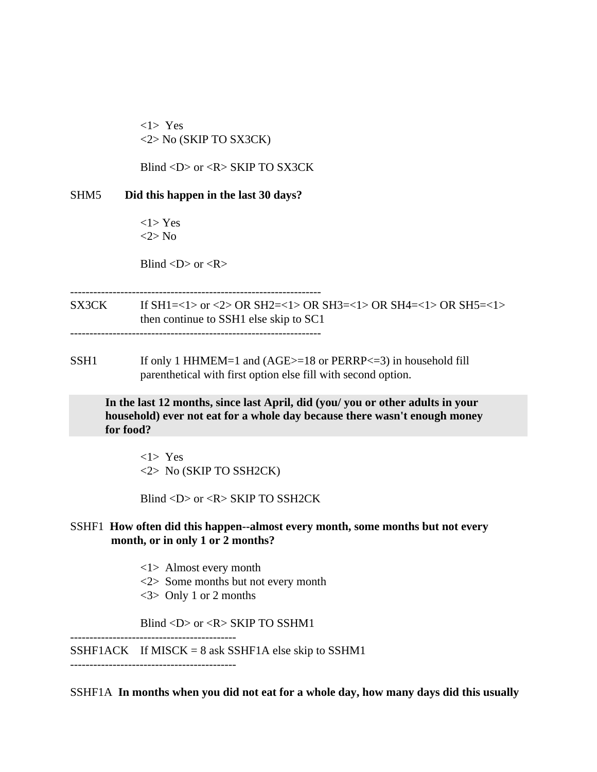<1> Yes <2> No (SKIP TO SX3CK)

Blind <D> or <R> SKIP TO SX3CK

SHM5 **Did this happen in the last 30 days?**

 $<1$ > Yes <2> No

Blind  $\langle D \rangle$  or  $\langle R \rangle$ 

-----------------------------------------------------------------

SX3CK If SH1=<1> or <2> OR SH2=<1> OR SH3=<1> OR SH4=<1> OR SH5=<1> then continue to SSH1 else skip to SC1 -----------------------------------------------------------------

SSH1 If only 1 HHMEM=1 and (AGE>=18 or PERRP<=3) in household fill parenthetical with first option else fill with second option.

**In the last 12 months, since last April, did (you/ you or other adults in your household) ever not eat for a whole day because there wasn't enough money for food?**

<1> Yes <2> No (SKIP TO SSH2CK)

Blind <D> or <R> SKIP TO SSH2CK

## SSHF1 **How often did this happen--almost every month, some months but not every month, or in only 1 or 2 months?**

<1> Almost every month

- <2> Some months but not every month
- <3> Only 1 or 2 months

Blind <D> or <R> SKIP TO SSHM1

-------------------------------------------

SSHF1ACK If MISCK =  $8$  ask SSHF1A else skip to SSHM1 -------------------------------------------

SSHF1A **In months when you did not eat for a whole day, how many days did this usually**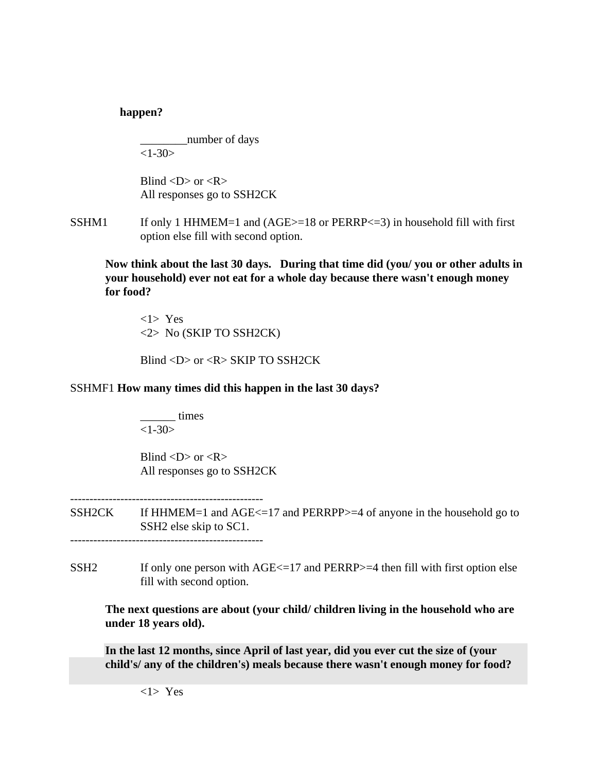## **happen?**

\_\_\_\_\_\_\_\_number of days  $<1-30>$ 

Blind  $\langle D \rangle$  or  $\langle R \rangle$ All responses go to SSH2CK

SSHM1 If only 1 HHMEM=1 and  $(AGE>=18$  or  $PERRP<=3)$  in household fill with first option else fill with second option.

**Now think about the last 30 days. During that time did (you/ you or other adults in your household) ever not eat for a whole day because there wasn't enough money for food?**

<1> Yes <2> No (SKIP TO SSH2CK)

Blind <D> or <R> SKIP TO SSH2CK

## SSHMF1 **How many times did this happen in the last 30 days?**

\_\_\_\_\_\_ times  $<1-30>$ 

Blind  $\langle D \rangle$  or  $\langle R \rangle$ All responses go to SSH2CK

- SSH2CK If HHMEM=1 and AGE<=17 and PERRPP>=4 of anyone in the household go to SSH2 else skip to SC1. --------------------------------------------------
- SSH2 If only one person with  $AGE \le 17$  and  $PERRP \ge 4$  then fill with first option else fill with second option.

**The next questions are about (your child/ children living in the household who are under 18 years old).**

**In the last 12 months, since April of last year, did you ever cut the size of (your child's/ any of the children's) meals because there wasn't enough money for food?**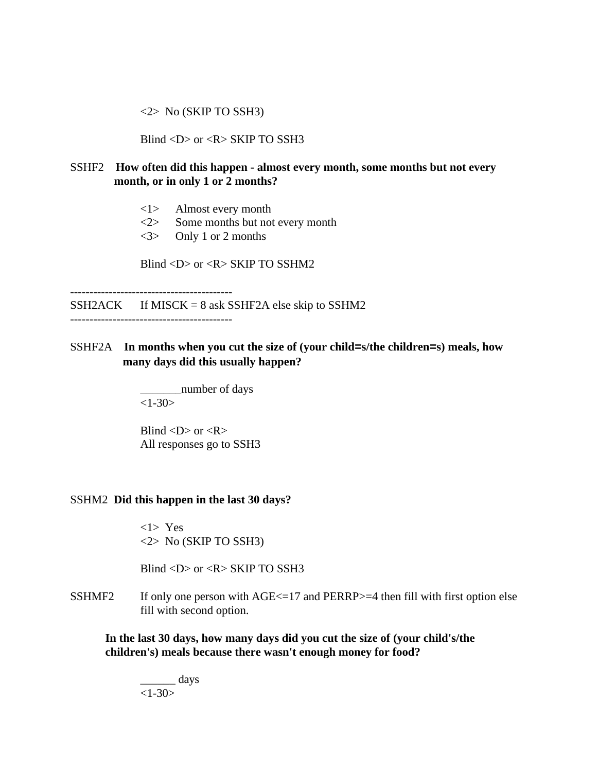<2> No (SKIP TO SSH3)

Blind <D> or <R> SKIP TO SSH3

## SSHF2 **How often did this happen - almost every month, some months but not every month, or in only 1 or 2 months?**

- <1> Almost every month
- <2> Some months but not every month
- <3> Only 1 or 2 months

Blind <D> or <R> SKIP TO SSHM2

------------------------------------------  $SSH2ACK$  If MISCK = 8 ask SSHF2A else skip to SSHM2

------------------------------------------

SSHF2A **In months when you cut the size of (your child=s/the children=s) meals, how many days did this usually happen?**

> \_\_\_\_\_\_\_number of days  $<1-30>$

Blind  $\langle D \rangle$  or  $\langle R \rangle$ All responses go to SSH3

## SSHM2 **Did this happen in the last 30 days?**

<1> Yes <2> No (SKIP TO SSH3)

Blind <D> or <R> SKIP TO SSH3

SSHMF2 If only one person with  $AGE \le 17$  and  $PERRP \ge 4$  then fill with first option else fill with second option.

**In the last 30 days, how many days did you cut the size of (your child's/the children's) meals because there wasn't enough money for food?**

\_\_\_\_\_\_ days  $<1-30>$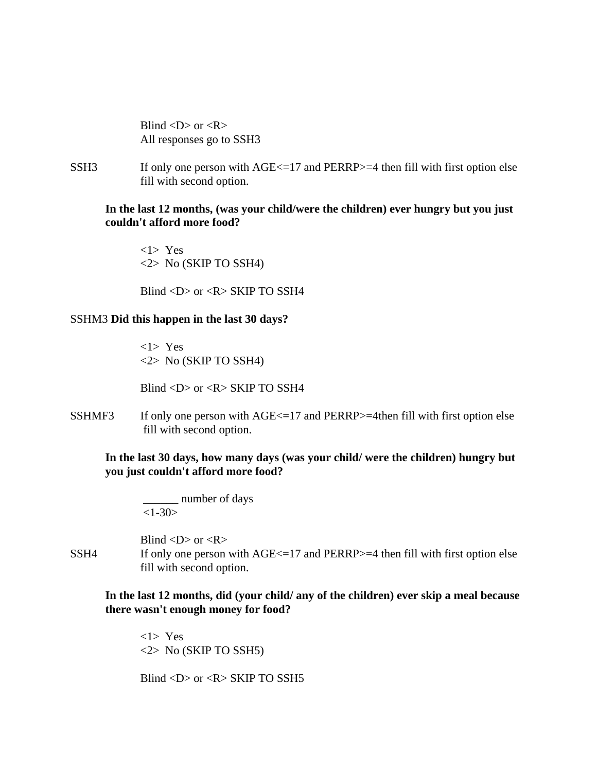Blind  $\langle D \rangle$  or  $\langle R \rangle$ All responses go to SSH3

SSH3 If only one person with  $AGE \le 17$  and  $PERRP \ge 4$  then fill with first option else fill with second option.

## **In the last 12 months, (was your child/were the children) ever hungry but you just couldn't afford more food?**

<1> Yes  $\langle 2 \rangle$  No (SKIP TO SSH4)

Blind  $\langle D \rangle$  or  $\langle R \rangle$  SKIP TO SSH4

#### SSHM3 **Did this happen in the last 30 days?**

<1> Yes <2> No (SKIP TO SSH4)

Blind  $\langle D \rangle$  or  $\langle R \rangle$  SKIP TO SSH4

SSHMF3 If only one person with  $AGE \le 17$  and PERRP $> = 4$ then fill with first option else fill with second option.

## **In the last 30 days, how many days (was your child/ were the children) hungry but you just couldn't afford more food?**

number of days  $<1-30>$ 

Blind  $\langle D \rangle$  or  $\langle R \rangle$ SSH4 If only one person with  $AGE \leq 17$  and  $PERRP \geq 4$  then fill with first option else fill with second option.

## **In the last 12 months, did (your child/ any of the children) ever skip a meal because there wasn't enough money for food?**

<1> Yes <2> No (SKIP TO SSH5)

Blind  $\langle D \rangle$  or  $\langle R \rangle$  SKIP TO SSH5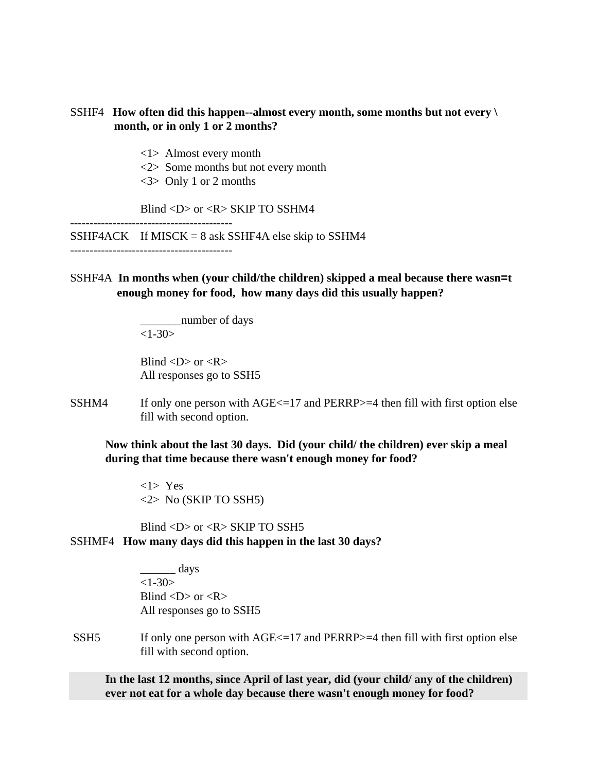## SSHF4 **How often did this happen--almost every month, some months but not every \ month, or in only 1 or 2 months?**

- <1> Almost every month
- <2> Some months but not every month
- <3> Only 1 or 2 months

------------------------------------------

Blind <D> or <R> SKIP TO SSHM4

 $SSHF4ACK$  If MISCK = 8 ask SSHF4A else skip to SSHM4

## SSHF4A **In months when (your child/the children) skipped a meal because there wasn=t enough money for food, how many days did this usually happen?**

\_\_\_\_\_\_\_number of days  $<1-30>$ 

Blind  $\langle D \rangle$  or  $\langle R \rangle$ All responses go to SSH5

SSHM4 If only one person with  $AGE \le 17$  and PERRP $> = 4$  then fill with first option else fill with second option.

**Now think about the last 30 days. Did (your child/ the children) ever skip a meal during that time because there wasn't enough money for food?**

<1> Yes <2> No (SKIP TO SSH5)

Blind  $\langle D \rangle$  or  $\langle R \rangle$  SKIP TO SSH5 SSHMF4 **How many days did this happen in the last 30 days?**

> $\frac{1}{\sqrt{2}}$  days  $<1-30>$ Blind  $\langle D \rangle$  or  $\langle R \rangle$ All responses go to SSH5

SSH5 If only one person with AGE <= 17 and PERRP >=4 then fill with first option else fill with second option.

**In the last 12 months, since April of last year, did (your child/ any of the children) ever not eat for a whole day because there wasn't enough money for food?**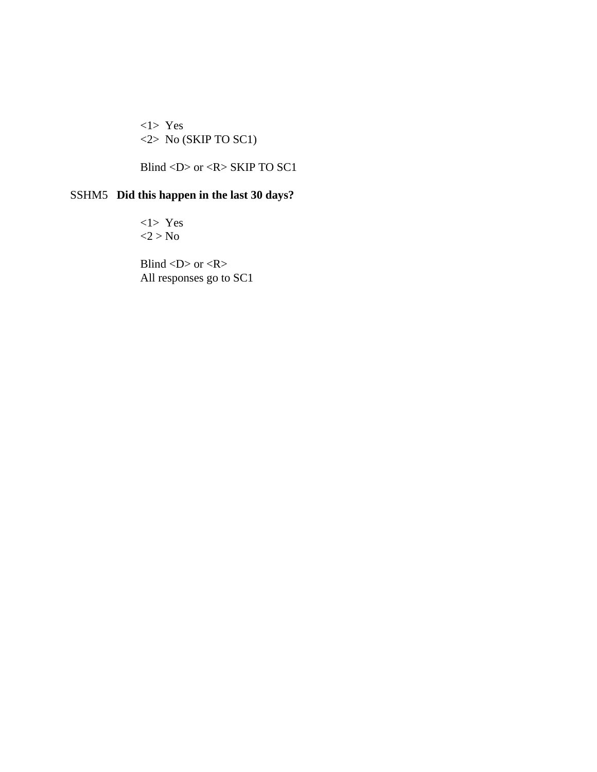<1> Yes <2> No (SKIP TO SC1)

Blind <D> or <R> SKIP TO SC1

## SSHM5 **Did this happen in the last 30 days?**

<1> Yes  $<$ 2 > No

Blind  $\langle D \rangle$  or  $\langle R \rangle$ All responses go to SC1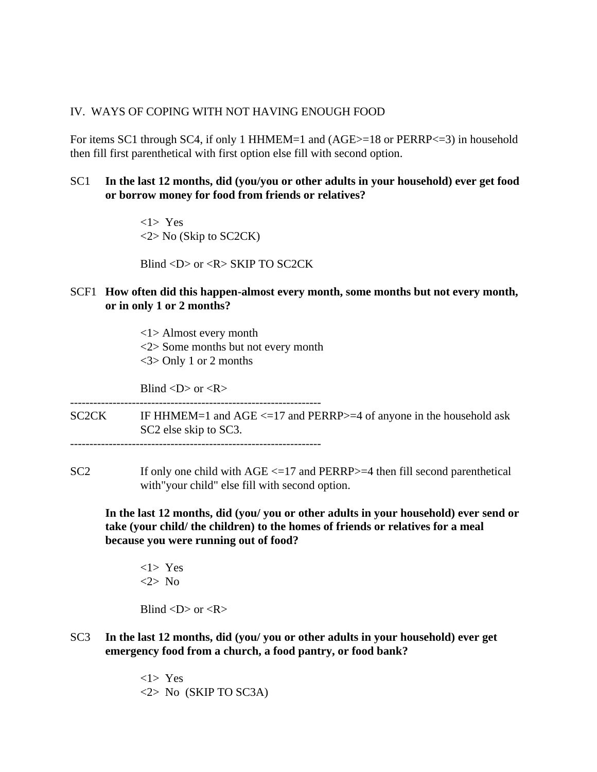## IV. WAYS OF COPING WITH NOT HAVING ENOUGH FOOD

For items SC1 through SC4, if only 1 HHMEM=1 and (AGE>=18 or PERRP<=3) in household then fill first parenthetical with first option else fill with second option.

## SC1 **In the last 12 months, did (you/you or other adults in your household) ever get food or borrow money for food from friends or relatives?**

<1> Yes  $\langle 2 \rangle$  No (Skip to SC2CK)

Blind <D> or <R> SKIP TO SC2CK

SCF1 **How often did this happen-almost every month, some months but not every month, or in only 1 or 2 months?**

> <1> Almost every month <2> Some months but not every month <3> Only 1 or 2 months

Blind  $\langle D \rangle$  or  $\langle R \rangle$ 

----------------------------------------------------------------- SC2CK IF HHMEM=1 and AGE <=17 and PERRP>=4 of anyone in the household ask SC2 else skip to SC3. -----------------------------------------------------------------

SC2 If only one child with AGE <=17 and PERRP>=4 then fill second parenthetical with"your child" else fill with second option.

**In the last 12 months, did (you/ you or other adults in your household) ever send or take (your child/ the children) to the homes of friends or relatives for a meal because you were running out of food?**

<1> Yes <2> No

Blind  $\langle D \rangle$  or  $\langle R \rangle$ 

SC3 **In the last 12 months, did (you/ you or other adults in your household) ever get emergency food from a church, a food pantry, or food bank?**

> <1> Yes <2> No (SKIP TO SC3A)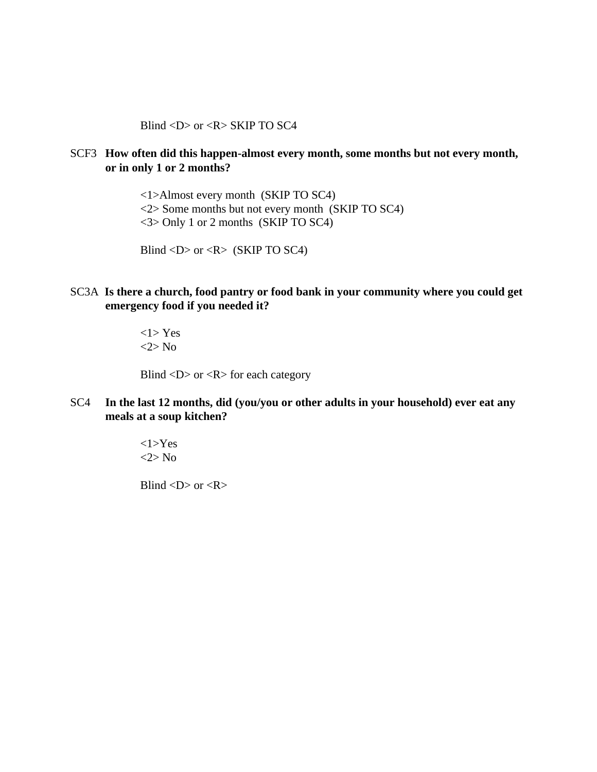Blind  $\langle D \rangle$  or  $\langle R \rangle$  SKIP TO SC4

## SCF3 **How often did this happen-almost every month, some months but not every month, or in only 1 or 2 months?**

<1>Almost every month (SKIP TO SC4) <2> Some months but not every month (SKIP TO SC4) <3> Only 1 or 2 months (SKIP TO SC4)

Blind  $\langle D \rangle$  or  $\langle R \rangle$  (SKIP TO SC4)

## SC3A **Is there a church, food pantry or food bank in your community where you could get emergency food if you needed it?**

<1> Yes <2> No

Blind  $\langle D \rangle$  or  $\langle R \rangle$  for each category

SC4 **In the last 12 months, did (you/you or other adults in your household) ever eat any meals at a soup kitchen?**

> <1>Yes  $\langle 2 \rangle$  No

Blind  $\langle D \rangle$  or  $\langle R \rangle$